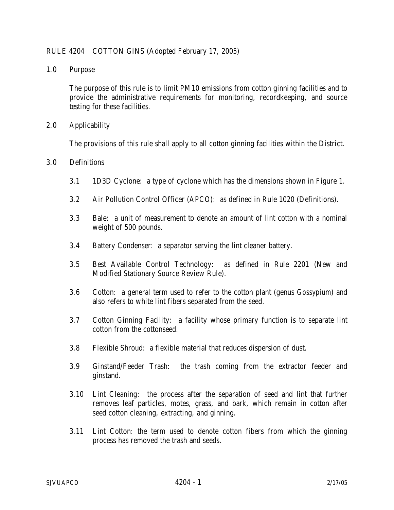## RULE 4204 COTTON GINS (Adopted February 17, 2005)

1.0 Purpose

 The purpose of this rule is to limit PM10 emissions from cotton ginning facilities and to provide the administrative requirements for monitoring, recordkeeping, and source testing for these facilities.

2.0 Applicability

The provisions of this rule shall apply to all cotton ginning facilities within the District.

## 3.0 Definitions

- 3.1 1D3D Cyclone: a type of cyclone which has the dimensions shown in Figure 1.
- 3.2 Air Pollution Control Officer (APCO): as defined in Rule 1020 (Definitions).
- 3.3 Bale: a unit of measurement to denote an amount of lint cotton with a nominal weight of 500 pounds.
- 3.4 Battery Condenser: a separator serving the lint cleaner battery.
- 3.5 Best Available Control Technology: as defined in Rule 2201 (New and Modified Stationary Source Review Rule).
- 3.6 Cotton: a general term used to refer to the cotton plant (genus *Gossypium*) and also refers to white lint fibers separated from the seed.
- 3.7 Cotton Ginning Facility: a facility whose primary function is to separate lint cotton from the cottonseed.
- 3.8 Flexible Shroud: a flexible material that reduces dispersion of dust.
- 3.9 Ginstand/Feeder Trash: the trash coming from the extractor feeder and ginstand.
- 3.10 Lint Cleaning: the process after the separation of seed and lint that further removes leaf particles, motes, grass, and bark, which remain in cotton after seed cotton cleaning, extracting, and ginning.
- 3.11 Lint Cotton: the term used to denote cotton fibers from which the ginning process has removed the trash and seeds.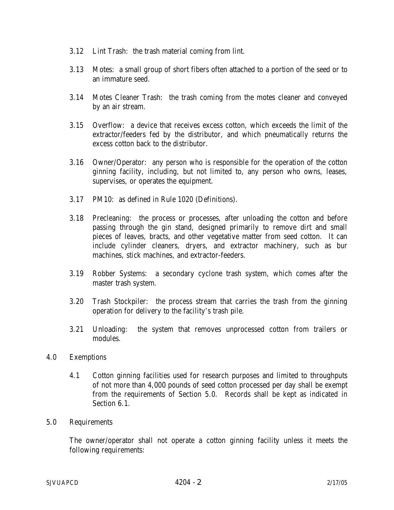- 3.12 Lint Trash: the trash material coming from lint.
- 3.13 Motes: a small group of short fibers often attached to a portion of the seed or to an immature seed.
- 3.14 Motes Cleaner Trash: the trash coming from the motes cleaner and conveyed by an air stream.
- 3.15 Overflow: a device that receives excess cotton, which exceeds the limit of the extractor/feeders fed by the distributor, and which pneumatically returns the excess cotton back to the distributor.
- 3.16 Owner/Operator: any person who is responsible for the operation of the cotton ginning facility, including, but not limited to, any person who owns, leases, supervises, or operates the equipment.
- 3.17 PM10: as defined in Rule 1020 (Definitions).
- 3.18 Precleaning: the process or processes, after unloading the cotton and before passing through the gin stand, designed primarily to remove dirt and small pieces of leaves, bracts, and other vegetative matter from seed cotton. It can include cylinder cleaners, dryers, and extractor machinery, such as bur machines, stick machines, and extractor-feeders.
- 3.19 Robber Systems: a secondary cyclone trash system, which comes after the master trash system.
- 3.20 Trash Stockpiler: the process stream that carries the trash from the ginning operation for delivery to the facility's trash pile.
- 3.21 Unloading: the system that removes unprocessed cotton from trailers or modules.
- 4.0 Exemptions
	- 4.1 Cotton ginning facilities used for research purposes and limited to throughputs of not more than 4,000 pounds of seed cotton processed per day shall be exempt from the requirements of Section 5.0. Records shall be kept as indicated in Section 6.1.
- 5.0 Requirements

 The owner/operator shall not operate a cotton ginning facility unless it meets the following requirements: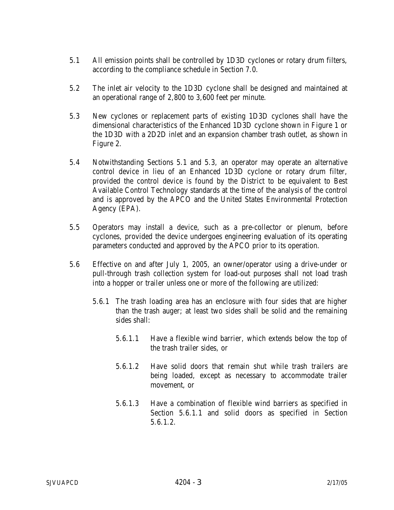- 5.1 All emission points shall be controlled by 1D3D cyclones or rotary drum filters, according to the compliance schedule in Section 7.0.
- 5.2 The inlet air velocity to the 1D3D cyclone shall be designed and maintained at an operational range of 2,800 to 3,600 feet per minute.
- 5.3 New cyclones or replacement parts of existing 1D3D cyclones shall have the dimensional characteristics of the Enhanced 1D3D cyclone shown in Figure 1 or the 1D3D with a 2D2D inlet and an expansion chamber trash outlet, as shown in Figure 2.
- 5.4 Notwithstanding Sections 5.1 and 5.3, an operator may operate an alternative control device in lieu of an Enhanced 1D3D cyclone or rotary drum filter, provided the control device is found by the District to be equivalent to Best Available Control Technology standards at the time of the analysis of the control and is approved by the APCO and the United States Environmental Protection Agency (EPA).
- 5.5 Operators may install a device, such as a pre-collector or plenum, before cyclones, provided the device undergoes engineering evaluation of its operating parameters conducted and approved by the APCO prior to its operation.
- 5.6 Effective on and after July 1, 2005, an owner/operator using a drive-under or pull-through trash collection system for load-out purposes shall not load trash into a hopper or trailer unless one or more of the following are utilized:
	- 5.6.1 The trash loading area has an enclosure with four sides that are higher than the trash auger; at least two sides shall be solid and the remaining sides shall:
		- 5.6.1.1 Have a flexible wind barrier, which extends below the top of the trash trailer sides, or
		- 5.6.1.2 Have solid doors that remain shut while trash trailers are being loaded, except as necessary to accommodate trailer movement, or
		- 5.6.1.3 Have a combination of flexible wind barriers as specified in Section 5.6.1.1 and solid doors as specified in Section 5.6.1.2.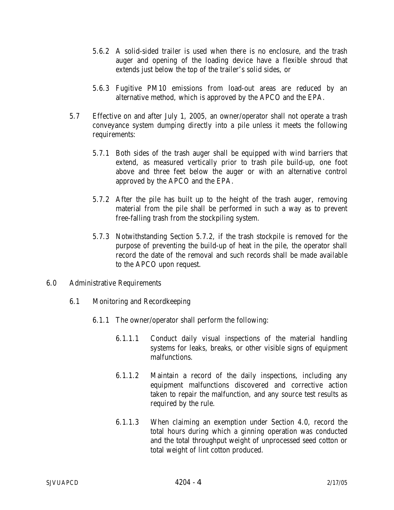- 5.6.2 A solid-sided trailer is used when there is no enclosure, and the trash auger and opening of the loading device have a flexible shroud that extends just below the top of the trailer's solid sides, or
- 5.6.3 Fugitive PM10 emissions from load-out areas are reduced by an alternative method, which is approved by the APCO and the EPA.
- 5.7 Effective on and after July 1, 2005, an owner/operator shall not operate a trash conveyance system dumping directly into a pile unless it meets the following requirements:
	- 5.7.1 Both sides of the trash auger shall be equipped with wind barriers that extend, as measured vertically prior to trash pile build-up, one foot above and three feet below the auger or with an alternative control approved by the APCO and the EPA.
	- 5.7.2 After the pile has built up to the height of the trash auger, removing material from the pile shall be performed in such a way as to prevent free-falling trash from the stockpiling system.
	- 5.7.3 Notwithstanding Section 5.7.2, if the trash stockpile is removed for the purpose of preventing the build-up of heat in the pile, the operator shall record the date of the removal and such records shall be made available to the APCO upon request.
- 6.0 Administrative Requirements
	- 6.1 Monitoring and Recordkeeping
		- 6.1.1 The owner/operator shall perform the following:
			- 6.1.1.1 Conduct daily visual inspections of the material handling systems for leaks, breaks, or other visible signs of equipment malfunctions.
			- 6.1.1.2 Maintain a record of the daily inspections, including any equipment malfunctions discovered and corrective action taken to repair the malfunction, and any source test results as required by the rule.
			- 6.1.1.3 When claiming an exemption under Section 4.0, record the total hours during which a ginning operation was conducted and the total throughput weight of unprocessed seed cotton or total weight of lint cotton produced.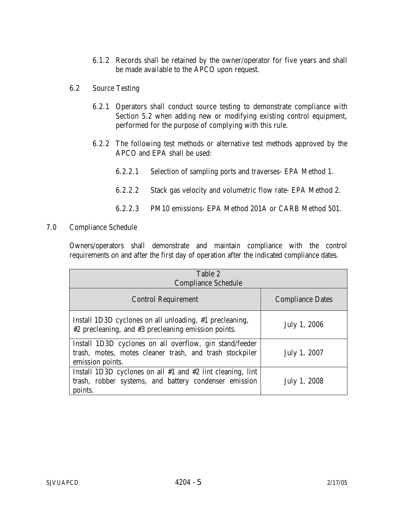- 6.1.2 Records shall be retained by the owner/operator for five years and shall be made available to the APCO upon request.
- 6.2 Source Testing
	- 6.2.1 Operators shall conduct source testing to demonstrate compliance with Section 5.2 when adding new or modifying existing control equipment, performed for the purpose of complying with this rule.
	- 6.2.2 The following test methods or alternative test methods approved by the APCO and EPA shall be used:
		- 6.2.2.1 Selection of sampling ports and traverses- EPA Method 1.
		- 6.2.2.2 Stack gas velocity and volumetric flow rate- EPA Method 2.
		- 6.2.2.3 PM10 emissions- EPA Method 201A or CARB Method 501.
- 7.0 Compliance Schedule

Owners/operators shall demonstrate and maintain compliance with the control requirements on and after the first day of operation after the indicated compliance dates.

| Table 2<br><b>Compliance Schedule</b>                                                                                                  |                         |
|----------------------------------------------------------------------------------------------------------------------------------------|-------------------------|
| <b>Control Requirement</b>                                                                                                             | <b>Compliance Dates</b> |
| Install 1D3D cyclones on all unloading, #1 precleaning,<br>#2 precleaning, and #3 precleaning emission points.                         | July 1, 2006            |
| Install 1D3D cyclones on all overflow, gin stand/feeder<br>trash, motes, motes cleaner trash, and trash stockpiler<br>emission points. | July 1, 2007            |
| Install 1D3D cyclones on all $#1$ and $#2$ lint cleaning, lint<br>trash, robber systems, and battery condenser emission<br>points.     | July 1, 2008            |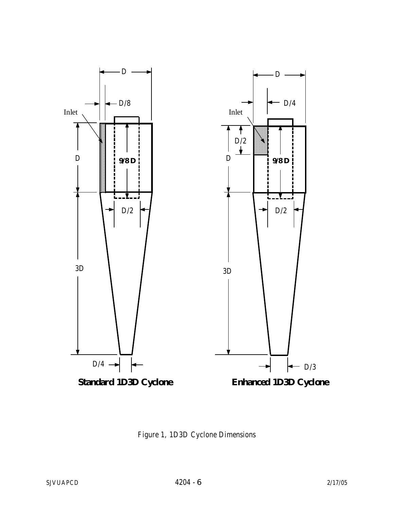

Figure 1, 1D3D Cyclone Dimensions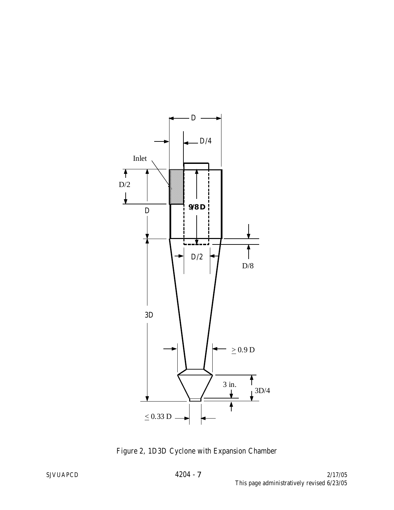

Figure 2, 1D3D Cyclone with Expansion Chamber